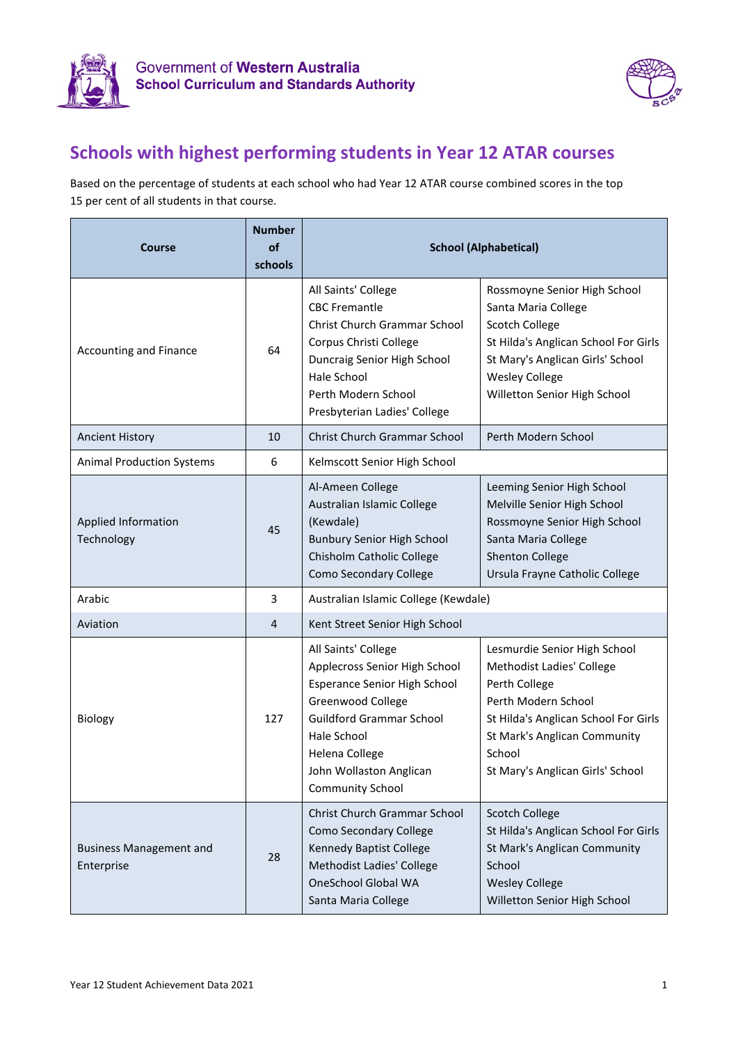



## **Schools with highest performing students in Year 12 ATAR courses**

Based on the percentage of students at each school who had Year 12 ATAR course combined scores in the top 15 per cent of all students in that course.

| <b>Course</b>                                | <b>Number</b><br>of<br>schools | <b>School (Alphabetical)</b>                                                                                                                                                                                                                      |                                                                                                                                                                                                                         |
|----------------------------------------------|--------------------------------|---------------------------------------------------------------------------------------------------------------------------------------------------------------------------------------------------------------------------------------------------|-------------------------------------------------------------------------------------------------------------------------------------------------------------------------------------------------------------------------|
| Accounting and Finance                       | 64                             | All Saints' College<br><b>CBC Fremantle</b><br>Christ Church Grammar School<br>Corpus Christi College<br>Duncraig Senior High School<br>Hale School<br>Perth Modern School<br>Presbyterian Ladies' College                                        | Rossmoyne Senior High School<br>Santa Maria College<br>Scotch College<br>St Hilda's Anglican School For Girls<br>St Mary's Anglican Girls' School<br><b>Wesley College</b><br>Willetton Senior High School              |
| <b>Ancient History</b>                       | 10                             | Christ Church Grammar School                                                                                                                                                                                                                      | Perth Modern School                                                                                                                                                                                                     |
| <b>Animal Production Systems</b>             | 6                              | Kelmscott Senior High School                                                                                                                                                                                                                      |                                                                                                                                                                                                                         |
| Applied Information<br>Technology            | 45                             | Al-Ameen College<br>Australian Islamic College<br>(Kewdale)<br><b>Bunbury Senior High School</b><br>Chisholm Catholic College<br><b>Como Secondary College</b>                                                                                    | Leeming Senior High School<br>Melville Senior High School<br>Rossmoyne Senior High School<br>Santa Maria College<br><b>Shenton College</b><br>Ursula Frayne Catholic College                                            |
| Arabic                                       | 3                              | Australian Islamic College (Kewdale)                                                                                                                                                                                                              |                                                                                                                                                                                                                         |
| Aviation                                     | $\overline{4}$                 | Kent Street Senior High School                                                                                                                                                                                                                    |                                                                                                                                                                                                                         |
| Biology                                      | 127                            | All Saints' College<br>Applecross Senior High School<br><b>Esperance Senior High School</b><br>Greenwood College<br><b>Guildford Grammar School</b><br>Hale School<br><b>Helena College</b><br>John Wollaston Anglican<br><b>Community School</b> | Lesmurdie Senior High School<br>Methodist Ladies' College<br>Perth College<br>Perth Modern School<br>St Hilda's Anglican School For Girls<br>St Mark's Anglican Community<br>School<br>St Mary's Anglican Girls' School |
| <b>Business Management and</b><br>Enterprise | 28                             | Christ Church Grammar School<br>Como Secondary College<br>Kennedy Baptist College<br>Methodist Ladies' College<br><b>OneSchool Global WA</b><br>Santa Maria College                                                                               | <b>Scotch College</b><br>St Hilda's Anglican School For Girls<br>St Mark's Anglican Community<br>School<br><b>Wesley College</b><br>Willetton Senior High School                                                        |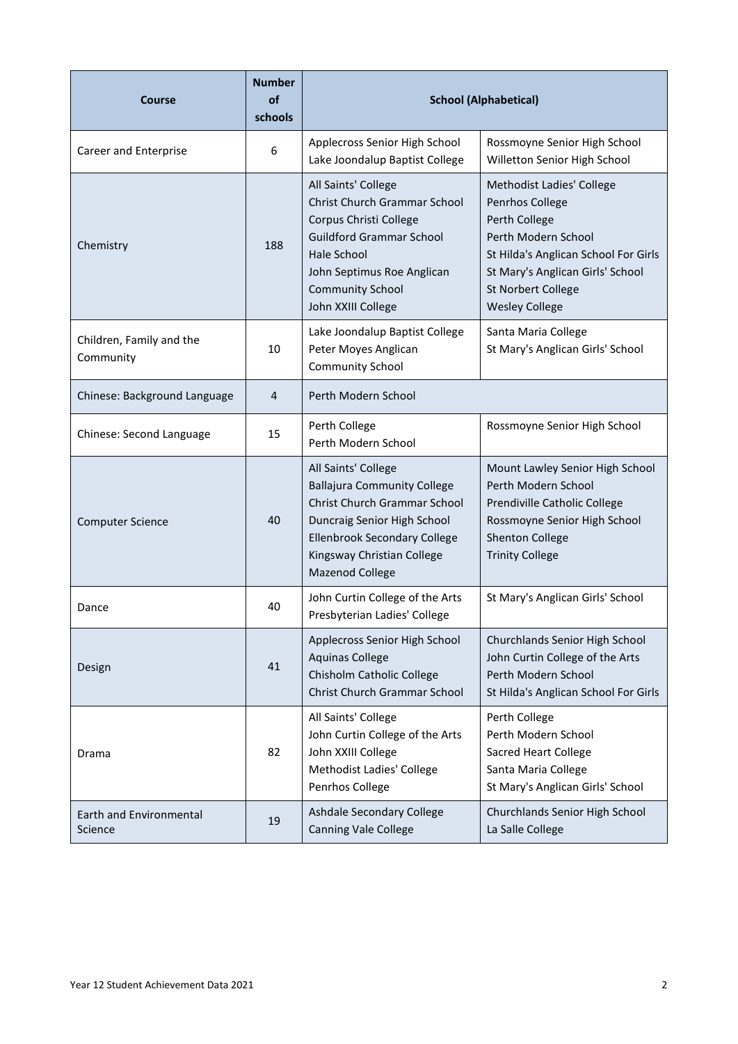| <b>Course</b>                         | <b>Number</b><br>of<br>schools | <b>School (Alphabetical)</b>                                                                                                                                                                                          |                                                                                                                                                                                                                 |
|---------------------------------------|--------------------------------|-----------------------------------------------------------------------------------------------------------------------------------------------------------------------------------------------------------------------|-----------------------------------------------------------------------------------------------------------------------------------------------------------------------------------------------------------------|
| Career and Enterprise                 | 6                              | Applecross Senior High School<br>Lake Joondalup Baptist College                                                                                                                                                       | Rossmoyne Senior High School<br>Willetton Senior High School                                                                                                                                                    |
| Chemistry                             | 188                            | All Saints' College<br>Christ Church Grammar School<br>Corpus Christi College<br><b>Guildford Grammar School</b><br><b>Hale School</b><br>John Septimus Roe Anglican<br><b>Community School</b><br>John XXIII College | Methodist Ladies' College<br>Penrhos College<br>Perth College<br>Perth Modern School<br>St Hilda's Anglican School For Girls<br>St Mary's Anglican Girls' School<br>St Norbert College<br><b>Wesley College</b> |
| Children, Family and the<br>Community | 10                             | Lake Joondalup Baptist College<br>Peter Moyes Anglican<br><b>Community School</b>                                                                                                                                     | Santa Maria College<br>St Mary's Anglican Girls' School                                                                                                                                                         |
| Chinese: Background Language          | 4                              | Perth Modern School                                                                                                                                                                                                   |                                                                                                                                                                                                                 |
| Chinese: Second Language              | 15                             | Perth College<br>Perth Modern School                                                                                                                                                                                  | Rossmoyne Senior High School                                                                                                                                                                                    |
| <b>Computer Science</b>               | 40                             | All Saints' College<br><b>Ballajura Community College</b><br>Christ Church Grammar School<br>Duncraig Senior High School<br>Ellenbrook Secondary College<br>Kingsway Christian College<br><b>Mazenod College</b>      | Mount Lawley Senior High School<br>Perth Modern School<br>Prendiville Catholic College<br>Rossmoyne Senior High School<br><b>Shenton College</b><br><b>Trinity College</b>                                      |
| Dance                                 | 40                             | John Curtin College of the Arts<br>Presbyterian Ladies' College                                                                                                                                                       | St Mary's Anglican Girls' School                                                                                                                                                                                |
| Design                                | 41                             | Applecross Senior High School<br><b>Aquinas College</b><br>Chisholm Catholic College<br>Christ Church Grammar School                                                                                                  | Churchlands Senior High School<br>John Curtin College of the Arts<br>Perth Modern School<br>St Hilda's Anglican School For Girls                                                                                |
| Drama                                 | 82                             | All Saints' College<br>John Curtin College of the Arts<br>John XXIII College<br><b>Methodist Ladies' College</b><br>Penrhos College                                                                                   | Perth College<br>Perth Modern School<br><b>Sacred Heart College</b><br>Santa Maria College<br>St Mary's Anglican Girls' School                                                                                  |
| Earth and Environmental<br>Science    | 19                             | Ashdale Secondary College<br><b>Canning Vale College</b>                                                                                                                                                              | Churchlands Senior High School<br>La Salle College                                                                                                                                                              |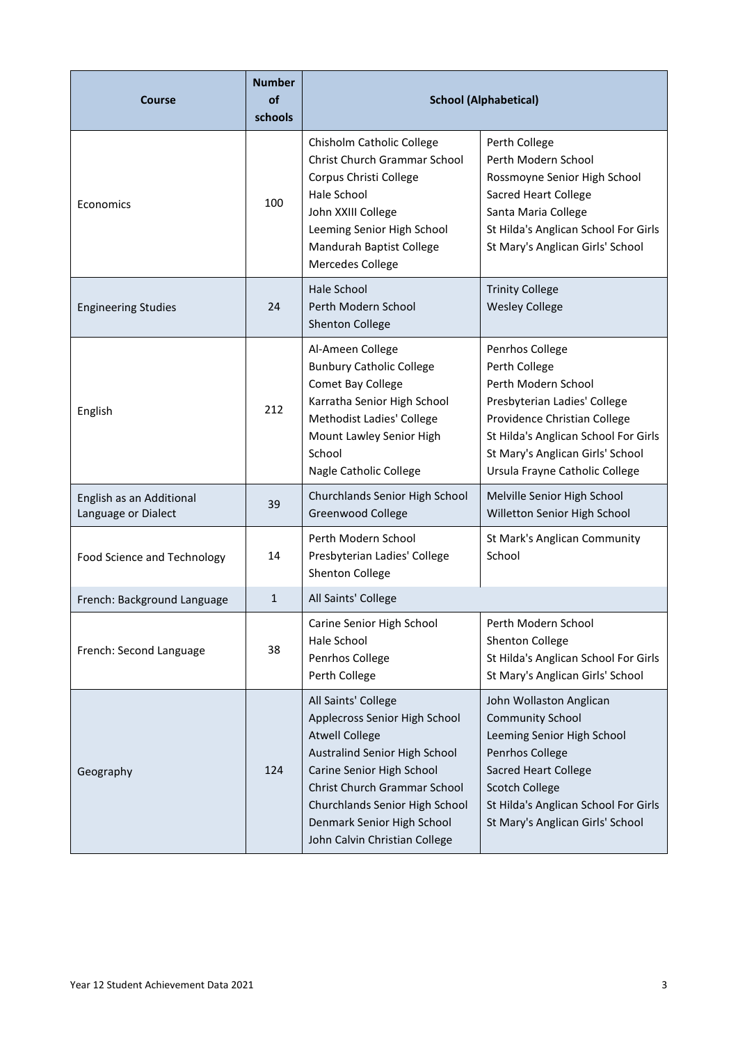| <b>Course</b>                                   | <b>Number</b><br>of<br>schools | <b>School (Alphabetical)</b>                                                                                                                                                                                                                                                 |                                                                                                                                                                                                                                         |
|-------------------------------------------------|--------------------------------|------------------------------------------------------------------------------------------------------------------------------------------------------------------------------------------------------------------------------------------------------------------------------|-----------------------------------------------------------------------------------------------------------------------------------------------------------------------------------------------------------------------------------------|
| Economics                                       | 100                            | Chisholm Catholic College<br>Christ Church Grammar School<br>Corpus Christi College<br>Hale School<br>John XXIII College<br>Leeming Senior High School<br>Mandurah Baptist College<br>Mercedes College                                                                       | Perth College<br>Perth Modern School<br>Rossmoyne Senior High School<br><b>Sacred Heart College</b><br>Santa Maria College<br>St Hilda's Anglican School For Girls<br>St Mary's Anglican Girls' School                                  |
| <b>Engineering Studies</b>                      | 24                             | <b>Hale School</b><br>Perth Modern School<br>Shenton College                                                                                                                                                                                                                 | <b>Trinity College</b><br><b>Wesley College</b>                                                                                                                                                                                         |
| English                                         | 212                            | Al-Ameen College<br><b>Bunbury Catholic College</b><br>Comet Bay College<br>Karratha Senior High School<br>Methodist Ladies' College<br>Mount Lawley Senior High<br>School<br>Nagle Catholic College                                                                         | Penrhos College<br>Perth College<br>Perth Modern School<br>Presbyterian Ladies' College<br>Providence Christian College<br>St Hilda's Anglican School For Girls<br>St Mary's Anglican Girls' School<br>Ursula Frayne Catholic College   |
| English as an Additional<br>Language or Dialect | 39                             | Churchlands Senior High School<br>Greenwood College                                                                                                                                                                                                                          | Melville Senior High School<br>Willetton Senior High School                                                                                                                                                                             |
| <b>Food Science and Technology</b>              | 14                             | Perth Modern School<br>Presbyterian Ladies' College<br>Shenton College                                                                                                                                                                                                       | St Mark's Anglican Community<br>School                                                                                                                                                                                                  |
| French: Background Language                     | $\mathbf{1}$                   | All Saints' College                                                                                                                                                                                                                                                          |                                                                                                                                                                                                                                         |
| French: Second Language                         | 38                             | Carine Senior High School<br>Hale School<br>Penrhos College<br>Perth College                                                                                                                                                                                                 | Perth Modern School<br>Shenton College<br>St Hilda's Anglican School For Girls<br>St Mary's Anglican Girls' School                                                                                                                      |
| Geography                                       | 124                            | All Saints' College<br>Applecross Senior High School<br><b>Atwell College</b><br>Australind Senior High School<br>Carine Senior High School<br>Christ Church Grammar School<br>Churchlands Senior High School<br>Denmark Senior High School<br>John Calvin Christian College | John Wollaston Anglican<br><b>Community School</b><br>Leeming Senior High School<br>Penrhos College<br><b>Sacred Heart College</b><br><b>Scotch College</b><br>St Hilda's Anglican School For Girls<br>St Mary's Anglican Girls' School |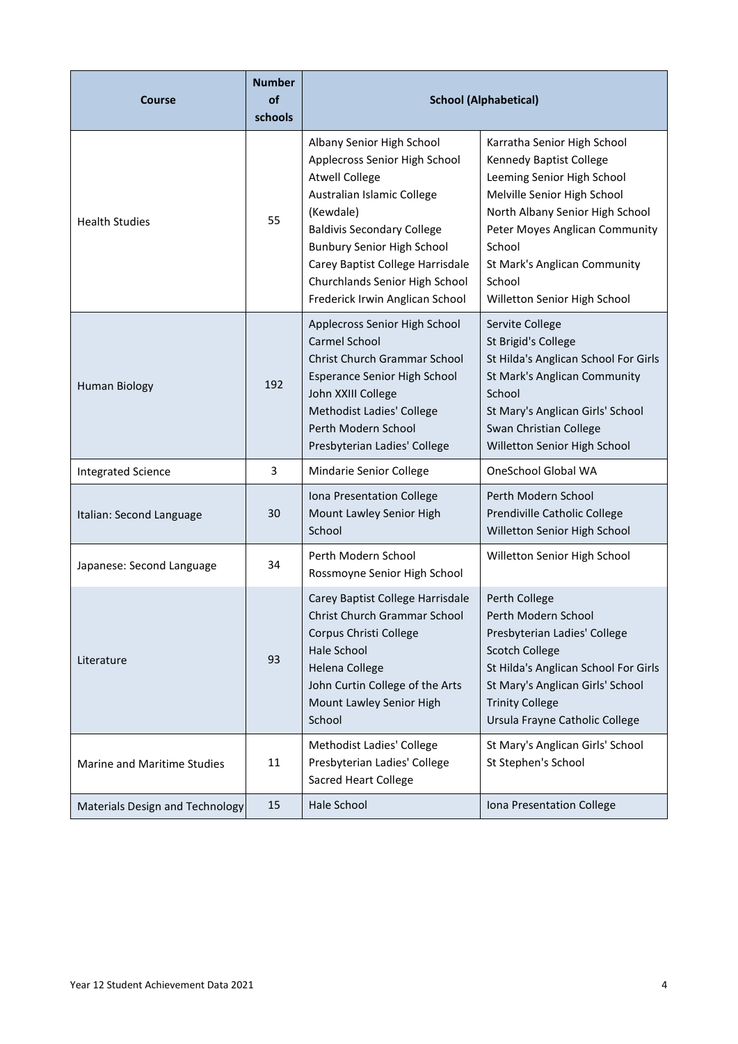| <b>Course</b>                   | <b>Number</b><br>of<br>schools | <b>School (Alphabetical)</b>                                                                                                                                                                                                                                                                               |                                                                                                                                                                                                                                                                              |
|---------------------------------|--------------------------------|------------------------------------------------------------------------------------------------------------------------------------------------------------------------------------------------------------------------------------------------------------------------------------------------------------|------------------------------------------------------------------------------------------------------------------------------------------------------------------------------------------------------------------------------------------------------------------------------|
| <b>Health Studies</b>           | 55                             | Albany Senior High School<br>Applecross Senior High School<br><b>Atwell College</b><br>Australian Islamic College<br>(Kewdale)<br><b>Baldivis Secondary College</b><br>Bunbury Senior High School<br>Carey Baptist College Harrisdale<br>Churchlands Senior High School<br>Frederick Irwin Anglican School | Karratha Senior High School<br>Kennedy Baptist College<br>Leeming Senior High School<br>Melville Senior High School<br>North Albany Senior High School<br>Peter Moyes Anglican Community<br>School<br>St Mark's Anglican Community<br>School<br>Willetton Senior High School |
| <b>Human Biology</b>            | 192                            | Applecross Senior High School<br><b>Carmel School</b><br>Christ Church Grammar School<br><b>Esperance Senior High School</b><br>John XXIII College<br><b>Methodist Ladies' College</b><br>Perth Modern School<br>Presbyterian Ladies' College                                                              | Servite College<br>St Brigid's College<br>St Hilda's Anglican School For Girls<br>St Mark's Anglican Community<br>School<br>St Mary's Anglican Girls' School<br>Swan Christian College<br>Willetton Senior High School                                                       |
| <b>Integrated Science</b>       | 3                              | Mindarie Senior College                                                                                                                                                                                                                                                                                    | OneSchool Global WA                                                                                                                                                                                                                                                          |
| Italian: Second Language        | 30                             | Iona Presentation College<br>Mount Lawley Senior High<br>School                                                                                                                                                                                                                                            | Perth Modern School<br>Prendiville Catholic College<br>Willetton Senior High School                                                                                                                                                                                          |
| Japanese: Second Language       | 34                             | Perth Modern School<br>Rossmoyne Senior High School                                                                                                                                                                                                                                                        | Willetton Senior High School                                                                                                                                                                                                                                                 |
| Literature                      | 93                             | Carey Baptist College Harrisdale<br><b>Christ Church Grammar School</b><br>Corpus Christi College<br>Hale School<br><b>Helena College</b><br>John Curtin College of the Arts<br>Mount Lawley Senior High<br>School                                                                                         | Perth College<br>Perth Modern School<br>Presbyterian Ladies' College<br><b>Scotch College</b><br>St Hilda's Anglican School For Girls<br>St Mary's Anglican Girls' School<br><b>Trinity College</b><br>Ursula Frayne Catholic College                                        |
| Marine and Maritime Studies     | 11                             | Methodist Ladies' College<br>Presbyterian Ladies' College<br><b>Sacred Heart College</b>                                                                                                                                                                                                                   | St Mary's Anglican Girls' School<br>St Stephen's School                                                                                                                                                                                                                      |
| Materials Design and Technology | 15                             | Hale School                                                                                                                                                                                                                                                                                                | Iona Presentation College                                                                                                                                                                                                                                                    |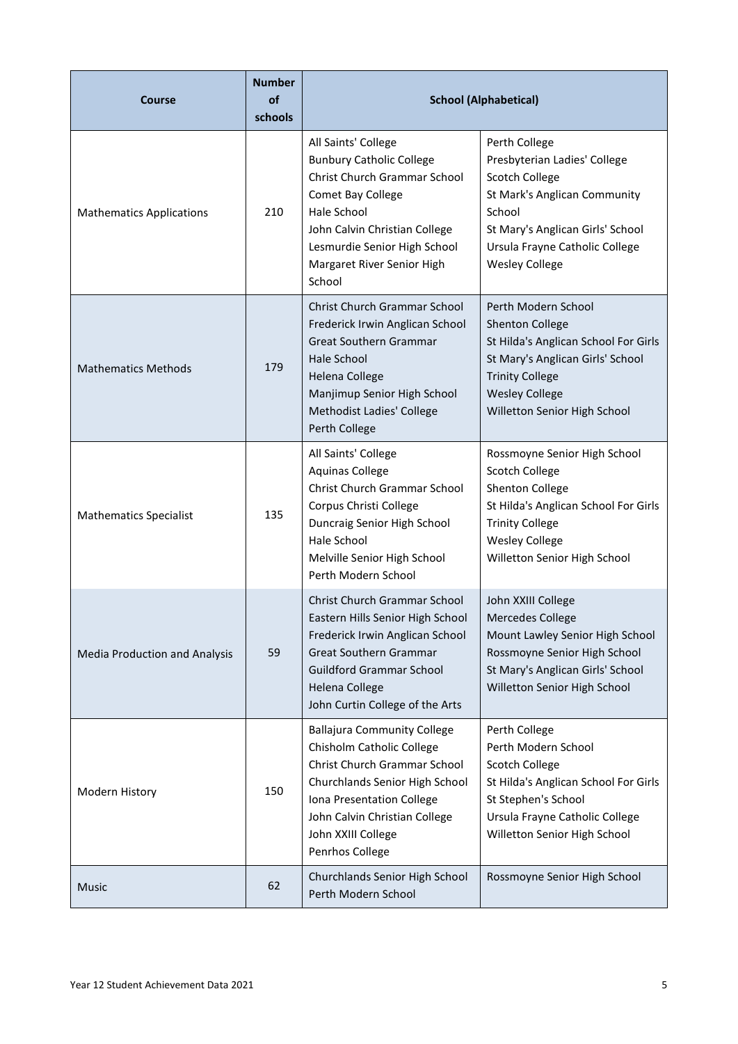| <b>Course</b>                   | <b>Number</b><br>of<br>schools | <b>School (Alphabetical)</b>                                                                                                                                                                                                               |                                                                                                                                                                                                                 |
|---------------------------------|--------------------------------|--------------------------------------------------------------------------------------------------------------------------------------------------------------------------------------------------------------------------------------------|-----------------------------------------------------------------------------------------------------------------------------------------------------------------------------------------------------------------|
| <b>Mathematics Applications</b> | 210                            | All Saints' College<br><b>Bunbury Catholic College</b><br>Christ Church Grammar School<br>Comet Bay College<br>Hale School<br>John Calvin Christian College<br>Lesmurdie Senior High School<br>Margaret River Senior High<br>School        | Perth College<br>Presbyterian Ladies' College<br><b>Scotch College</b><br>St Mark's Anglican Community<br>School<br>St Mary's Anglican Girls' School<br>Ursula Frayne Catholic College<br><b>Wesley College</b> |
| <b>Mathematics Methods</b>      | 179                            | <b>Christ Church Grammar School</b><br>Frederick Irwin Anglican School<br><b>Great Southern Grammar</b><br><b>Hale School</b><br><b>Helena College</b><br>Manjimup Senior High School<br><b>Methodist Ladies' College</b><br>Perth College | Perth Modern School<br><b>Shenton College</b><br>St Hilda's Anglican School For Girls<br>St Mary's Anglican Girls' School<br><b>Trinity College</b><br><b>Wesley College</b><br>Willetton Senior High School    |
| <b>Mathematics Specialist</b>   | 135                            | All Saints' College<br><b>Aquinas College</b><br>Christ Church Grammar School<br>Corpus Christi College<br>Duncraig Senior High School<br>Hale School<br>Melville Senior High School<br>Perth Modern School                                | Rossmoyne Senior High School<br><b>Scotch College</b><br>Shenton College<br>St Hilda's Anglican School For Girls<br><b>Trinity College</b><br><b>Wesley College</b><br>Willetton Senior High School             |
| Media Production and Analysis   | 59                             | Christ Church Grammar School<br>Eastern Hills Senior High School<br>Frederick Irwin Anglican School<br><b>Great Southern Grammar</b><br><b>Guildford Grammar School</b><br><b>Helena College</b><br>John Curtin College of the Arts        | John XXIII College<br><b>Mercedes College</b><br>Mount Lawley Senior High School<br>Rossmoyne Senior High School<br>St Mary's Anglican Girls' School<br>Willetton Senior High School                            |
| Modern History                  | 150                            | <b>Ballajura Community College</b><br>Chisholm Catholic College<br>Christ Church Grammar School<br>Churchlands Senior High School<br>Iona Presentation College<br>John Calvin Christian College<br>John XXIII College<br>Penrhos College   | Perth College<br>Perth Modern School<br>Scotch College<br>St Hilda's Anglican School For Girls<br>St Stephen's School<br>Ursula Frayne Catholic College<br>Willetton Senior High School                         |
| Music                           | 62                             | Churchlands Senior High School<br>Perth Modern School                                                                                                                                                                                      | Rossmoyne Senior High School                                                                                                                                                                                    |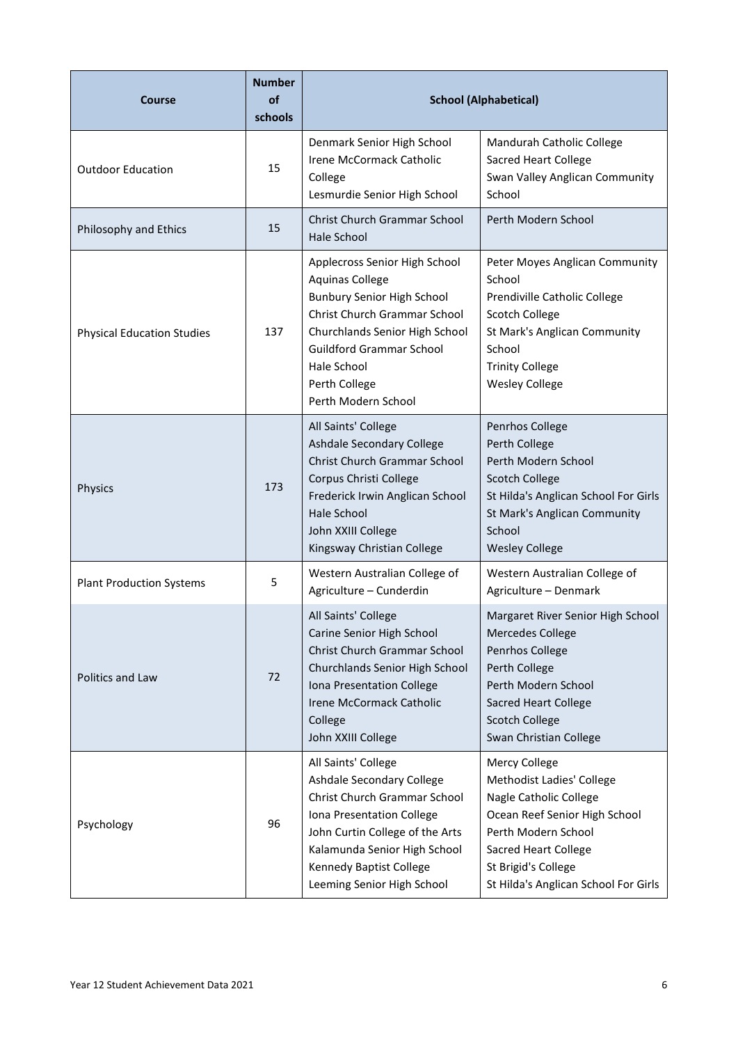| <b>Course</b>                     | <b>Number</b><br>of<br>schools | <b>School (Alphabetical)</b>                                                                                                                                                                                                                             |                                                                                                                                                                                                                            |
|-----------------------------------|--------------------------------|----------------------------------------------------------------------------------------------------------------------------------------------------------------------------------------------------------------------------------------------------------|----------------------------------------------------------------------------------------------------------------------------------------------------------------------------------------------------------------------------|
| <b>Outdoor Education</b>          | 15                             | Denmark Senior High School<br><b>Irene McCormack Catholic</b><br>College<br>Lesmurdie Senior High School                                                                                                                                                 | Mandurah Catholic College<br><b>Sacred Heart College</b><br>Swan Valley Anglican Community<br>School                                                                                                                       |
| Philosophy and Ethics             | 15                             | Christ Church Grammar School<br><b>Hale School</b>                                                                                                                                                                                                       | Perth Modern School                                                                                                                                                                                                        |
| <b>Physical Education Studies</b> | 137                            | Applecross Senior High School<br><b>Aquinas College</b><br><b>Bunbury Senior High School</b><br>Christ Church Grammar School<br>Churchlands Senior High School<br><b>Guildford Grammar School</b><br>Hale School<br>Perth College<br>Perth Modern School | Peter Moyes Anglican Community<br>School<br>Prendiville Catholic College<br>Scotch College<br>St Mark's Anglican Community<br>School<br><b>Trinity College</b><br><b>Wesley College</b>                                    |
| Physics                           | 173                            | All Saints' College<br>Ashdale Secondary College<br>Christ Church Grammar School<br>Corpus Christi College<br>Frederick Irwin Anglican School<br><b>Hale School</b><br>John XXIII College<br>Kingsway Christian College                                  | Penrhos College<br>Perth College<br>Perth Modern School<br><b>Scotch College</b><br>St Hilda's Anglican School For Girls<br>St Mark's Anglican Community<br>School<br><b>Wesley College</b>                                |
| <b>Plant Production Systems</b>   | 5                              | Western Australian College of<br>Agriculture - Cunderdin                                                                                                                                                                                                 | Western Australian College of<br>Agriculture - Denmark                                                                                                                                                                     |
| Politics and Law                  | 72                             | All Saints' College<br>Carine Senior High School<br>Christ Church Grammar School<br>Churchlands Senior High School<br>Iona Presentation College<br>Irene McCormack Catholic<br>College<br>John XXIII College                                             | Margaret River Senior High School<br><b>Mercedes College</b><br>Penrhos College<br>Perth College<br>Perth Modern School<br>Sacred Heart College<br><b>Scotch College</b><br>Swan Christian College                         |
| Psychology                        | 96                             | All Saints' College<br>Ashdale Secondary College<br>Christ Church Grammar School<br>Iona Presentation College<br>John Curtin College of the Arts<br>Kalamunda Senior High School<br>Kennedy Baptist College<br>Leeming Senior High School                | Mercy College<br>Methodist Ladies' College<br>Nagle Catholic College<br>Ocean Reef Senior High School<br>Perth Modern School<br><b>Sacred Heart College</b><br>St Brigid's College<br>St Hilda's Anglican School For Girls |